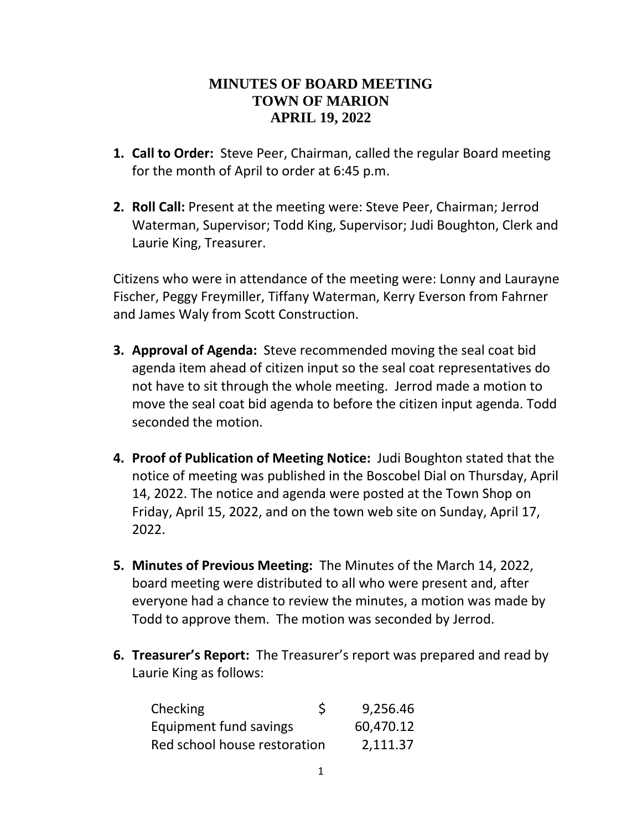## **MINUTES OF BOARD MEETING TOWN OF MARION APRIL 19, 2022**

- **1. Call to Order:** Steve Peer, Chairman, called the regular Board meeting for the month of April to order at 6:45 p.m.
- **2. Roll Call:** Present at the meeting were: Steve Peer, Chairman; Jerrod Waterman, Supervisor; Todd King, Supervisor; Judi Boughton, Clerk and Laurie King, Treasurer.

Citizens who were in attendance of the meeting were: Lonny and Laurayne Fischer, Peggy Freymiller, Tiffany Waterman, Kerry Everson from Fahrner and James Waly from Scott Construction.

- **3. Approval of Agenda:** Steve recommended moving the seal coat bid agenda item ahead of citizen input so the seal coat representatives do not have to sit through the whole meeting. Jerrod made a motion to move the seal coat bid agenda to before the citizen input agenda. Todd seconded the motion.
- **4. Proof of Publication of Meeting Notice:** Judi Boughton stated that the notice of meeting was published in the Boscobel Dial on Thursday, April 14, 2022. The notice and agenda were posted at the Town Shop on Friday, April 15, 2022, and on the town web site on Sunday, April 17, 2022.
- **5. Minutes of Previous Meeting:** The Minutes of the March 14, 2022, board meeting were distributed to all who were present and, after everyone had a chance to review the minutes, a motion was made by Todd to approve them. The motion was seconded by Jerrod.
- **6. Treasurer's Report:** The Treasurer's report was prepared and read by Laurie King as follows:

| Checking                     | \$<br>9,256.46 |
|------------------------------|----------------|
| Equipment fund savings       | 60,470.12      |
| Red school house restoration | 2,111.37       |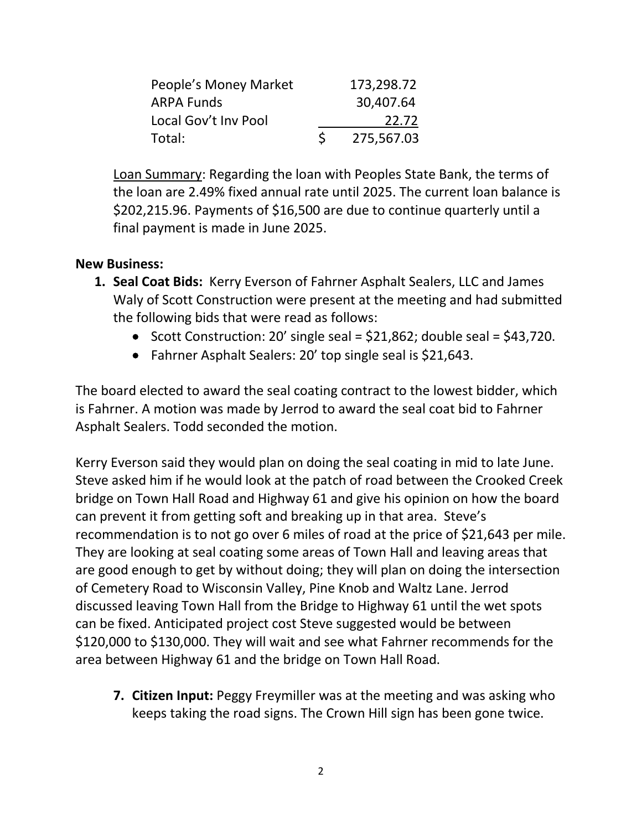| People's Money Market | 173,298.72 |
|-----------------------|------------|
| <b>ARPA Funds</b>     | 30,407.64  |
| Local Gov't Inv Pool  | 22.72      |
| Total:                | 275,567.03 |

Loan Summary: Regarding the loan with Peoples State Bank, the terms of the loan are 2.49% fixed annual rate until 2025. The current loan balance is \$202,215.96. Payments of \$16,500 are due to continue quarterly until a final payment is made in June 2025.

## **New Business:**

- **1. Seal Coat Bids:** Kerry Everson of Fahrner Asphalt Sealers, LLC and James Waly of Scott Construction were present at the meeting and had submitted the following bids that were read as follows:
	- Scott Construction: 20' single seal =  $$21,862$ ; double seal =  $$43,720$ .
	- Fahrner Asphalt Sealers: 20' top single seal is \$21,643.

The board elected to award the seal coating contract to the lowest bidder, which is Fahrner. A motion was made by Jerrod to award the seal coat bid to Fahrner Asphalt Sealers. Todd seconded the motion.

Kerry Everson said they would plan on doing the seal coating in mid to late June. Steve asked him if he would look at the patch of road between the Crooked Creek bridge on Town Hall Road and Highway 61 and give his opinion on how the board can prevent it from getting soft and breaking up in that area. Steve's recommendation is to not go over 6 miles of road at the price of \$21,643 per mile. They are looking at seal coating some areas of Town Hall and leaving areas that are good enough to get by without doing; they will plan on doing the intersection of Cemetery Road to Wisconsin Valley, Pine Knob and Waltz Lane. Jerrod discussed leaving Town Hall from the Bridge to Highway 61 until the wet spots can be fixed. Anticipated project cost Steve suggested would be between \$120,000 to \$130,000. They will wait and see what Fahrner recommends for the area between Highway 61 and the bridge on Town Hall Road.

**7. Citizen Input:** Peggy Freymiller was at the meeting and was asking who keeps taking the road signs. The Crown Hill sign has been gone twice.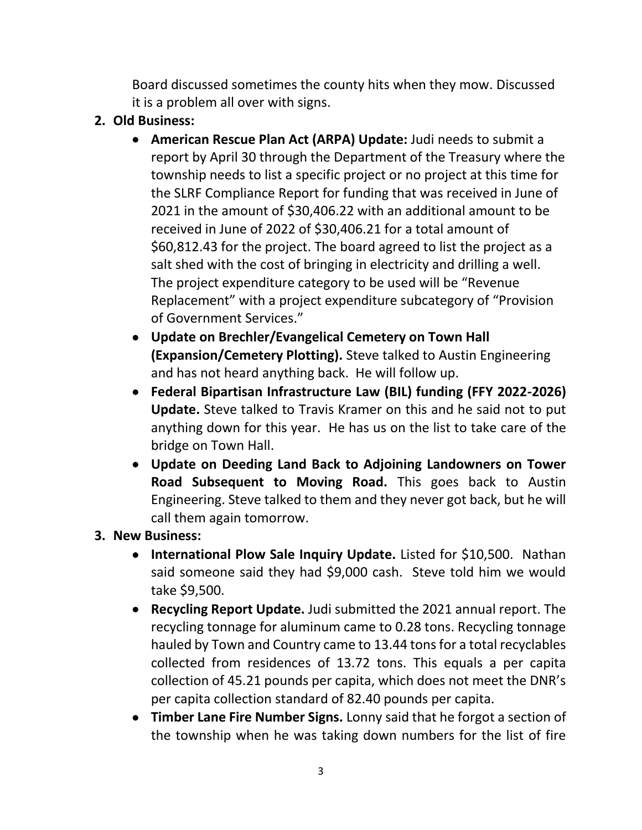Board discussed sometimes the county hits when they mow. Discussed it is a problem all over with signs.

- **2. Old Business:** 
	- **American Rescue Plan Act (ARPA) Update:** Judi needs to submit a report by April 30 through the Department of the Treasury where the township needs to list a specific project or no project at this time for the SLRF Compliance Report for funding that was received in June of 2021 in the amount of \$30,406.22 with an additional amount to be received in June of 2022 of \$30,406.21 for a total amount of \$60,812.43 for the project. The board agreed to list the project as a salt shed with the cost of bringing in electricity and drilling a well. The project expenditure category to be used will be "Revenue Replacement" with a project expenditure subcategory of "Provision of Government Services."
	- **Update on Brechler/Evangelical Cemetery on Town Hall (Expansion/Cemetery Plotting).** Steve talked to Austin Engineering and has not heard anything back. He will follow up.
	- **Federal Bipartisan Infrastructure Law (BIL) funding (FFY 2022-2026) Update.** Steve talked to Travis Kramer on this and he said not to put anything down for this year. He has us on the list to take care of the bridge on Town Hall.
	- **Update on Deeding Land Back to Adjoining Landowners on Tower Road Subsequent to Moving Road.** This goes back to Austin Engineering. Steve talked to them and they never got back, but he will call them again tomorrow.
- **3. New Business:**
	- **International Plow Sale Inquiry Update.** Listed for \$10,500. Nathan said someone said they had \$9,000 cash. Steve told him we would take \$9,500.
	- **Recycling Report Update.** Judi submitted the 2021 annual report. The recycling tonnage for aluminum came to 0.28 tons. Recycling tonnage hauled by Town and Country came to 13.44 tons for a total recyclables collected from residences of 13.72 tons. This equals a per capita collection of 45.21 pounds per capita, which does not meet the DNR's per capita collection standard of 82.40 pounds per capita.
	- **Timber Lane Fire Number Signs.** Lonny said that he forgot a section of the township when he was taking down numbers for the list of fire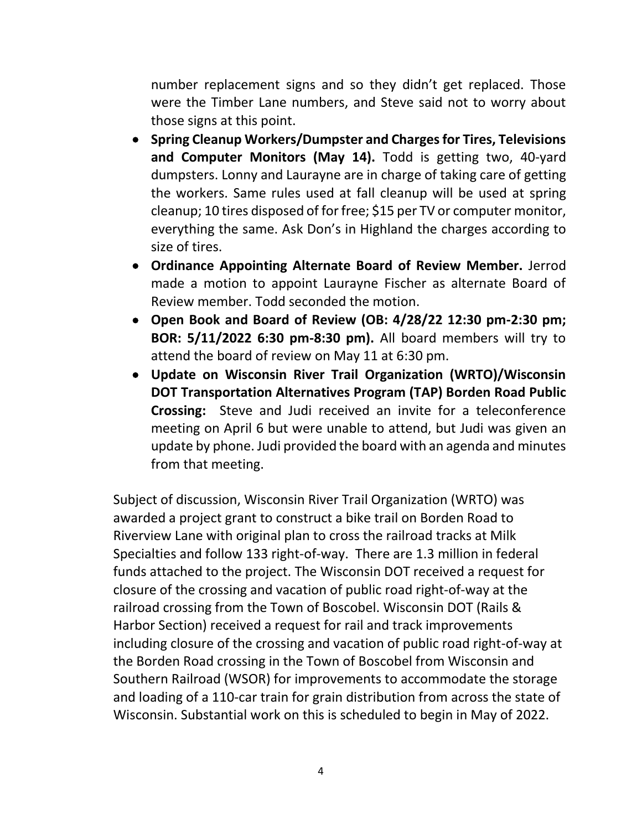number replacement signs and so they didn't get replaced. Those were the Timber Lane numbers, and Steve said not to worry about those signs at this point.

- **Spring Cleanup Workers/Dumpster and Charges for Tires, Televisions and Computer Monitors (May 14).** Todd is getting two, 40-yard dumpsters. Lonny and Laurayne are in charge of taking care of getting the workers. Same rules used at fall cleanup will be used at spring cleanup; 10 tires disposed of for free; \$15 per TV or computer monitor, everything the same. Ask Don's in Highland the charges according to size of tires.
- **Ordinance Appointing Alternate Board of Review Member.** Jerrod made a motion to appoint Laurayne Fischer as alternate Board of Review member. Todd seconded the motion.
- **Open Book and Board of Review (OB: 4/28/22 12:30 pm-2:30 pm; BOR: 5/11/2022 6:30 pm-8:30 pm).** All board members will try to attend the board of review on May 11 at 6:30 pm.
- **Update on Wisconsin River Trail Organization (WRTO)/Wisconsin DOT Transportation Alternatives Program (TAP) Borden Road Public Crossing:** Steve and Judi received an invite for a teleconference meeting on April 6 but were unable to attend, but Judi was given an update by phone. Judi provided the board with an agenda and minutes from that meeting.

Subject of discussion, Wisconsin River Trail Organization (WRTO) was awarded a project grant to construct a bike trail on Borden Road to Riverview Lane with original plan to cross the railroad tracks at Milk Specialties and follow 133 right-of-way. There are 1.3 million in federal funds attached to the project. The Wisconsin DOT received a request for closure of the crossing and vacation of public road right-of-way at the railroad crossing from the Town of Boscobel. Wisconsin DOT (Rails & Harbor Section) received a request for rail and track improvements including closure of the crossing and vacation of public road right-of-way at the Borden Road crossing in the Town of Boscobel from Wisconsin and Southern Railroad (WSOR) for improvements to accommodate the storage and loading of a 110-car train for grain distribution from across the state of Wisconsin. Substantial work on this is scheduled to begin in May of 2022.